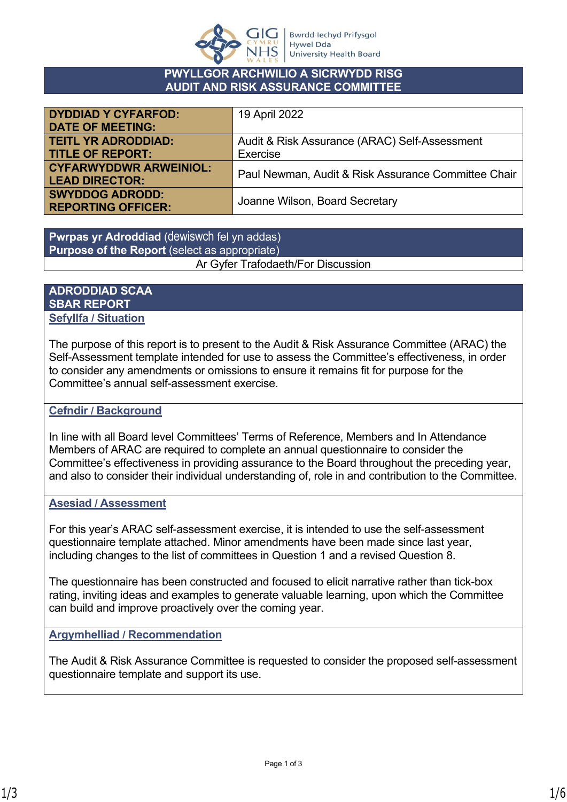

## **PWYLLGOR ARCHWILIO A SICRWYDD RISG AUDIT AND RISK ASSURANCE COMMITTEE**

| <b>DYDDIAD Y CYFARFOD:</b>    | 19 April 2022                                       |
|-------------------------------|-----------------------------------------------------|
| <b>DATE OF MEETING:</b>       |                                                     |
| <b>TEITL YR ADRODDIAD:</b>    | Audit & Risk Assurance (ARAC) Self-Assessment       |
| <b>TITLE OF REPORT:</b>       | Exercise                                            |
| <b>CYFARWYDDWR ARWEINIOL:</b> | Paul Newman, Audit & Risk Assurance Committee Chair |
| <b>LEAD DIRECTOR:</b>         |                                                     |
| <b>SWYDDOG ADRODD:</b>        |                                                     |
| <b>REPORTING OFFICER:</b>     | Joanne Wilson, Board Secretary                      |

**Pwrpas yr Adroddiad** (dewiswch fel yn addas) **Purpose of the Report** (select as appropriate) Ar Gyfer Trafodaeth/For Discussion

## **ADRODDIAD SCAA SBAR REPORT Sefyllfa / Situation**

The purpose of this report is to present to the Audit & Risk Assurance Committee (ARAC) the Self-Assessment template intended for use to assess the Committee's effectiveness, in order to consider any amendments or omissions to ensure it remains fit for purpose for the Committee's annual self-assessment exercise.

# **Cefndir / Background**

In line with all Board level Committees' Terms of Reference, Members and In Attendance Members of ARAC are required to complete an annual questionnaire to consider the Committee's effectiveness in providing assurance to the Board throughout the preceding year, and also to consider their individual understanding of, role in and contribution to the Committee.

## **Asesiad / Assessment**

For this year's ARAC self-assessment exercise, it is intended to use the self-assessment questionnaire template attached. Minor amendments have been made since last year, including changes to the list of committees in Question 1 and a revised Question 8.

The questionnaire has been constructed and focused to elicit narrative rather than tick-box rating, inviting ideas and examples to generate valuable learning, upon which the Committee can build and improve proactively over the coming year.

## **Argymhelliad / Recommendation**

The Audit & Risk Assurance Committee is requested to consider the proposed self-assessment questionnaire template and support its use.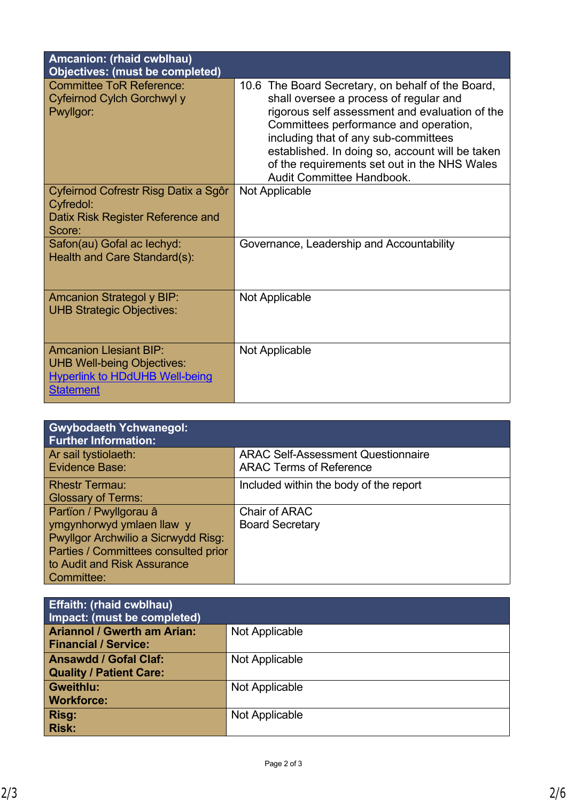| Amcanion: (rhaid cwblhau)<br><b>Objectives: (must be completed)</b>                                                             |                                                                                                                                                                                                                                                                                                                                                                |
|---------------------------------------------------------------------------------------------------------------------------------|----------------------------------------------------------------------------------------------------------------------------------------------------------------------------------------------------------------------------------------------------------------------------------------------------------------------------------------------------------------|
| <b>Committee ToR Reference:</b><br>Cyfeirnod Cylch Gorchwyl y<br>Pwyllgor:                                                      | 10.6 The Board Secretary, on behalf of the Board,<br>shall oversee a process of regular and<br>rigorous self assessment and evaluation of the<br>Committees performance and operation,<br>including that of any sub-committees<br>established. In doing so, account will be taken<br>of the requirements set out in the NHS Wales<br>Audit Committee Handbook. |
| Cyfeirnod Cofrestr Risg Datix a Sgôr<br>Cyfredol:<br>Datix Risk Register Reference and<br>Score:                                | Not Applicable                                                                                                                                                                                                                                                                                                                                                 |
| Safon(au) Gofal ac lechyd:<br>Health and Care Standard(s):                                                                      | Governance, Leadership and Accountability                                                                                                                                                                                                                                                                                                                      |
| <b>Amcanion Strategol y BIP:</b><br><b>UHB Strategic Objectives:</b>                                                            | Not Applicable                                                                                                                                                                                                                                                                                                                                                 |
| <b>Amcanion Llesiant BIP:</b><br><b>UHB Well-being Objectives:</b><br><b>Hyperlink to HDdUHB Well-being</b><br><b>Statement</b> | Not Applicable                                                                                                                                                                                                                                                                                                                                                 |

| <b>Gwybodaeth <i>Ychwanegol:</i></b><br><b>Further Information:</b> |                                           |
|---------------------------------------------------------------------|-------------------------------------------|
| Ar sail tystiolaeth:                                                | <b>ARAC Self-Assessment Questionnaire</b> |
| Evidence Base:                                                      | <b>ARAC Terms of Reference</b>            |
| <b>Rhestr Termau:</b>                                               | Included within the body of the report    |
| <b>Glossary of Terms:</b>                                           |                                           |
| Partïon / Pwyllgorau â                                              | Chair of ARAC                             |
| ymgynhorwyd ymlaen llaw y                                           | <b>Board Secretary</b>                    |
| Pwyllgor Archwilio a Sicrwydd Risg:                                 |                                           |
| Parties / Committees consulted prior                                |                                           |
| to Audit and Risk Assurance                                         |                                           |
| Committee:                                                          |                                           |

| <b>Effaith: (rhaid cwblhau)</b><br>Impact: (must be completed)    |                |  |
|-------------------------------------------------------------------|----------------|--|
| <b>Ariannol / Gwerth am Arian:</b><br><b>Financial / Service:</b> | Not Applicable |  |
| <b>Ansawdd / Gofal Claf:</b><br><b>Quality / Patient Care:</b>    | Not Applicable |  |
| Gweithlu:<br><b>Workforce:</b>                                    | Not Applicable |  |
| Risg:<br><b>Risk:</b>                                             | Not Applicable |  |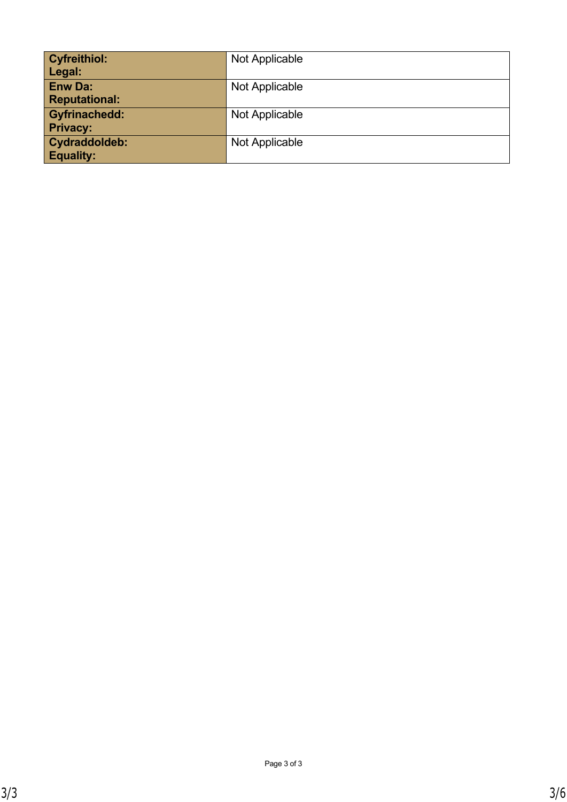| <b>Cyfreithiol:</b><br>Legal:           | Not Applicable |
|-----------------------------------------|----------------|
| <b>Enw Da:</b><br><b>Reputational:</b>  | Not Applicable |
| <b>Gyfrinachedd:</b><br><b>Privacy:</b> | Not Applicable |
| Cydraddoldeb:<br><b>Equality:</b>       | Not Applicable |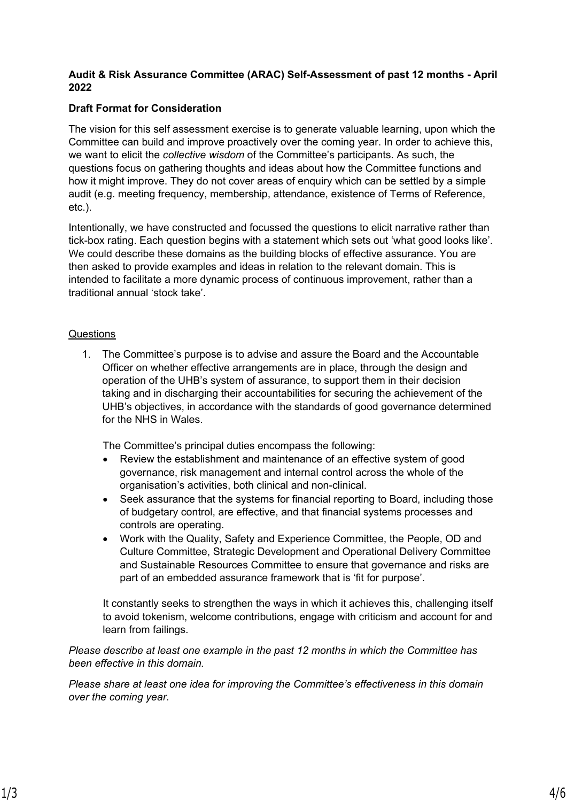#### **Audit & Risk Assurance Committee (ARAC) Self-Assessment of past 12 months - April 2022**

## **Draft Format for Consideration**

The vision for this self assessment exercise is to generate valuable learning, upon which the Committee can build and improve proactively over the coming year. In order to achieve this, we want to elicit the *collective wisdom* of the Committee's participants. As such, the questions focus on gathering thoughts and ideas about how the Committee functions and how it might improve. They do not cover areas of enquiry which can be settled by a simple audit (e.g. meeting frequency, membership, attendance, existence of Terms of Reference, etc.).

Intentionally, we have constructed and focussed the questions to elicit narrative rather than tick-box rating. Each question begins with a statement which sets out 'what good looks like'. We could describe these domains as the building blocks of effective assurance. You are then asked to provide examples and ideas in relation to the relevant domain. This is intended to facilitate a more dynamic process of continuous improvement, rather than a traditional annual 'stock take'.

#### **Questions**

1. The Committee's purpose is to advise and assure the Board and the Accountable Officer on whether effective arrangements are in place, through the design and operation of the UHB's system of assurance, to support them in their decision taking and in discharging their accountabilities for securing the achievement of the UHB's objectives, in accordance with the standards of good governance determined for the NHS in Wales.

The Committee's principal duties encompass the following:

- Review the establishment and maintenance of an effective system of good governance, risk management and internal control across the whole of the organisation's activities, both clinical and non-clinical.
- Seek assurance that the systems for financial reporting to Board, including those of budgetary control, are effective, and that financial systems processes and controls are operating.
- Work with the Quality, Safety and Experience Committee, the People, OD and Culture Committee, Strategic Development and Operational Delivery Committee and Sustainable Resources Committee to ensure that governance and risks are part of an embedded assurance framework that is 'fit for purpose'.

It constantly seeks to strengthen the ways in which it achieves this, challenging itself to avoid tokenism, welcome contributions, engage with criticism and account for and learn from failings.

*Please describe at least one example in the past 12 months in which the Committee has been effective in this domain.*

*Please share at least one idea for improving the Committee's effectiveness in this domain over the coming year.*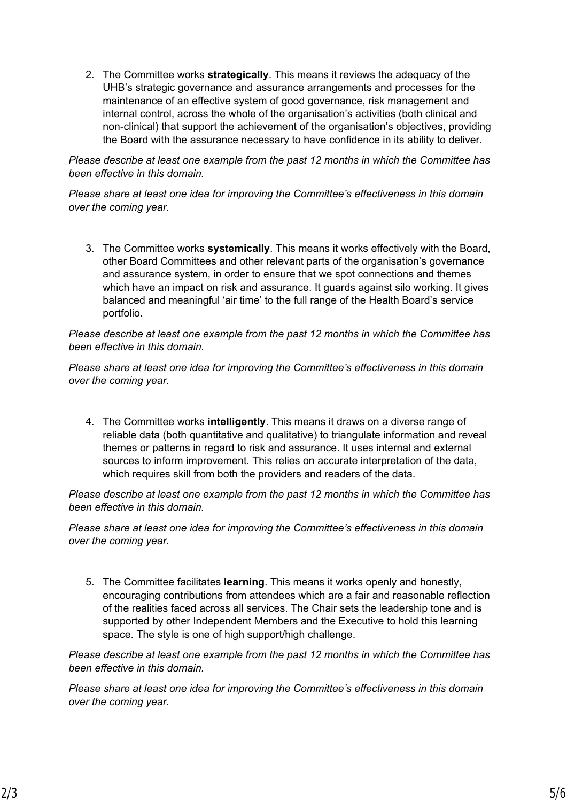2. The Committee works **strategically**. This means it reviews the adequacy of the UHB's strategic governance and assurance arrangements and processes for the maintenance of an effective system of good governance, risk management and internal control, across the whole of the organisation's activities (both clinical and non-clinical) that support the achievement of the organisation's objectives, providing the Board with the assurance necessary to have confidence in its ability to deliver.

*Please describe at least one example from the past 12 months in which the Committee has been effective in this domain.*

*Please share at least one idea for improving the Committee's effectiveness in this domain over the coming year.*

3. The Committee works **systemically**. This means it works effectively with the Board, other Board Committees and other relevant parts of the organisation's governance and assurance system, in order to ensure that we spot connections and themes which have an impact on risk and assurance. It guards against silo working. It gives balanced and meaningful 'air time' to the full range of the Health Board's service portfolio.

*Please describe at least one example from the past 12 months in which the Committee has been effective in this domain.*

*Please share at least one idea for improving the Committee's effectiveness in this domain over the coming year.*

4. The Committee works **intelligently**. This means it draws on a diverse range of reliable data (both quantitative and qualitative) to triangulate information and reveal themes or patterns in regard to risk and assurance. It uses internal and external sources to inform improvement. This relies on accurate interpretation of the data, which requires skill from both the providers and readers of the data.

*Please describe at least one example from the past 12 months in which the Committee has been effective in this domain.*

*Please share at least one idea for improving the Committee's effectiveness in this domain over the coming year.*

5. The Committee facilitates **learning**. This means it works openly and honestly, encouraging contributions from attendees which are a fair and reasonable reflection of the realities faced across all services. The Chair sets the leadership tone and is supported by other Independent Members and the Executive to hold this learning space. The style is one of high support/high challenge.

*Please describe at least one example from the past 12 months in which the Committee has been effective in this domain.*

*Please share at least one idea for improving the Committee's effectiveness in this domain over the coming year.*